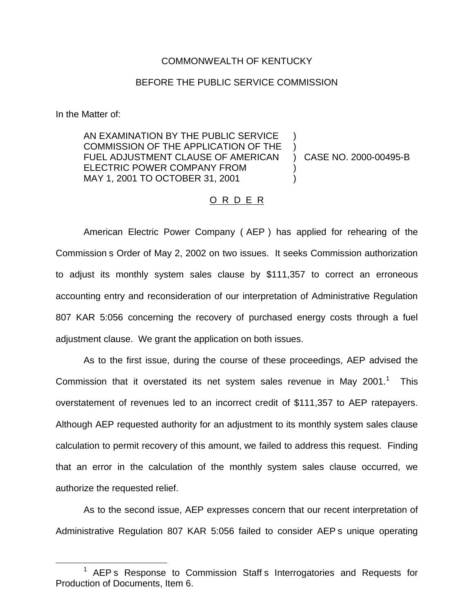## COMMONWEALTH OF KENTUCKY

## BEFORE THE PUBLIC SERVICE COMMISSION

In the Matter of:

AN EXAMINATION BY THE PUBLIC SERVICE COMMISSION OF THE APPLICATION OF THE FUEL ADJUSTMENT CLAUSE OF AMERICAN ELECTRIC POWER COMPANY FROM MAY 1, 2001 TO OCTOBER 31, 2001  $\lambda$ ) ) CASE NO. 2000-00495-B )  $\lambda$ 

## O R D E R

American Electric Power Company ( AEP ) has applied for rehearing of the Commission s Order of May 2, 2002 on two issues. It seeks Commission authorization to adjust its monthly system sales clause by \$111,357 to correct an erroneous accounting entry and reconsideration of our interpretation of Administrative Regulation 807 KAR 5:056 concerning the recovery of purchased energy costs through a fuel adjustment clause. We grant the application on both issues.

As to the first issue, during the course of these proceedings, AEP advised the Commission that it overstated its net system sales revenue in May 2001. $<sup>1</sup>$  This</sup> overstatement of revenues led to an incorrect credit of \$111,357 to AEP ratepayers. Although AEP requested authority for an adjustment to its monthly system sales clause calculation to permit recovery of this amount, we failed to address this request. Finding that an error in the calculation of the monthly system sales clause occurred, we authorize the requested relief.

As to the second issue, AEP expresses concern that our recent interpretation of Administrative Regulation 807 KAR 5:056 failed to consider AEP s unique operating

<sup>&</sup>lt;sup>1</sup> AEP s Response to Commission Staff s Interrogatories and Requests for Production of Documents, Item 6.